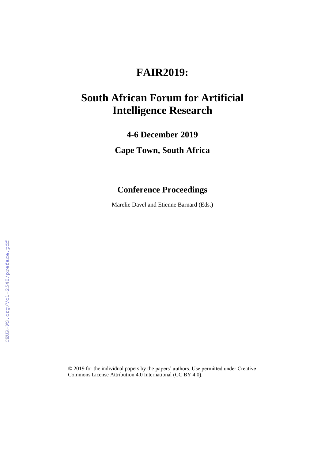## **FAIR2019:**

# **South African Forum for Artificial Intelligence Research**

**4-6 December 2019**

**Cape Town, South Africa**

### **Conference Proceedings**

Marelie Davel and Etienne Barnard (Eds.)

© 2019 for the individual papers by the papers' authors. Use permitted under Creative Commons License Attribution 4.0 International (CC BY 4.0).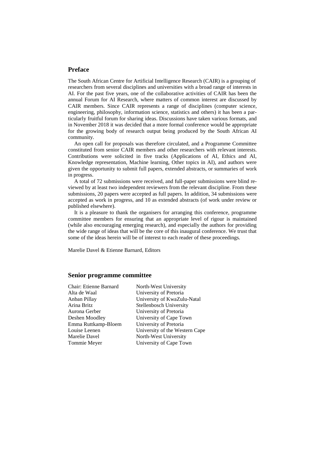#### **Preface**

The South African Centre for Artificial Intelligence Research (CAIR) is a grouping of researchers from several disciplines and universities with a broad range of interests in AI. For the past five years, one of the collaborative activities of CAIR has been the annual Forum for AI Research, where matters of common interest are discussed by CAIR members. Since CAIR represents a range of disciplines (computer science, engineering, philosophy, information science, statistics and others) it has been a particularly fruitful forum for sharing ideas. Discussions have taken various formats, and in November 2018 it was decided that a more formal conference would be appropriate for the growing body of research output being produced by the South African AI community.

An open call for proposals was therefore circulated, and a Programme Committee constituted from senior CAIR members and other researchers with relevant interests. Contributions were solicited in five tracks (Applications of AI, Ethics and AI, Knowledge representation, Machine learning, Other topics in AI), and authors were given the opportunity to submit full papers, extended abstracts, or summaries of work in progress.

A total of 72 submissions were received, and full-paper submissions were blind reviewed by at least two independent reviewers from the relevant discipline. From these submissions, 20 papers were accepted as full papers. In addition, 34 submissions were accepted as work in progress, and 10 as extended abstracts (of work under review or published elsewhere).

It is a pleasure to thank the organisers for arranging this conference, programme committee members for ensuring that an appropriate level of rigour is maintained (while also encouraging emerging research), and especially the authors for providing the wide range of ideas that will be the core of this inaugural conference. We trust that some of the ideas herein will be of interest to each reader of these proceedings.

Marelie Davel & Etienne Barnard, Editors

#### **Senior programme committee**

| Chair: Etienne Barnard | North-West University          |
|------------------------|--------------------------------|
| Alta de Waal           | University of Pretoria         |
| Anban Pillav           | University of KwaZulu-Natal    |
| Arina Britz            | Stellenbosch University        |
| Aurona Gerber          | University of Pretoria         |
| Deshen Moodlev         | University of Cape Town        |
| Emma Ruttkamp-Bloem    | University of Pretoria         |
| Louise Leenen          | University of the Western Cape |
| Marelie Davel          | North-West University          |
| Tommie Mever           | University of Cape Town        |
|                        |                                |